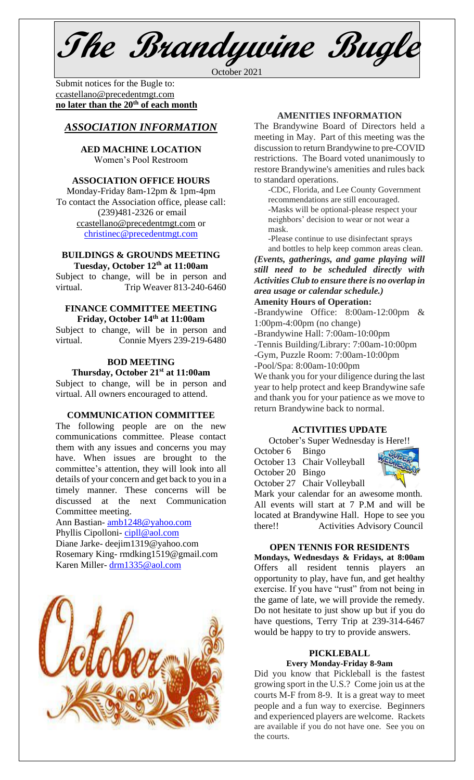**The Brandywine Bugle**

October 2021

Submit notices for the Bugle to: [ccastellano@precedentmgt.com](mailto:johnandbethgrooms@gmail.com) **no later than the 20th of each month**

# *ASSOCIATION INFORMATION*

**AED MACHINE LOCATION**  Women's Pool Restroom

#### **ASSOCIATION OFFICE HOURS**

Monday-Friday 8am-12pm & 1pm-4pm To contact the Association office, please call: (239)481-2326 or email [ccastellano@precedentmgt.com](mailto:ccastellano@precedentmgt.com) or [christinec@precedentmgt.com](mailto:christinec@precedentmgt.com)

#### **BUILDINGS & GROUNDS MEETING Tuesday, October 12 th at 11:00am**

Subject to change, will be in person and virtual. Trip Weaver 813-240-6460

#### **FINANCE COMMITTEE MEETING Friday, October 14 th at 11:00am**

Subject to change, will be in person and virtual. Connie Myers 239-219-6480

# **BOD MEETING**

**Thursday, October 21 st at 11:00am** Subject to change, will be in person and virtual. All owners encouraged to attend.

#### **COMMUNICATION COMMITTEE**

The following people are on the new communications committee. Please contact them with any issues and concerns you may have. When issues are brought to the committee's attention, they will look into all details of your concern and get back to you in a timely manner. These concerns will be discussed at the next Communication Committee meeting.

Ann Bastian- [amb1248@yahoo.com](mailto:amb1248@yahoo.com) Phyllis Cipolloni- [cipll@aol.com](mailto:cipll@aol.com) Diane Jarke- deejim1319@yahoo.com Rosemary King- rmdking1519@gmail.com

Karen Miller- [drm1335@aol.com](mailto:drm1335@aol.com)



### **AMENITIES INFORMATION**

The Brandywine Board of Directors held a meeting in May. Part of this meeting was the discussion to return Brandywine to pre-COVID restrictions. The Board voted unanimously to restore Brandywine's amenities and rules back to standard operations.

-CDC, Florida, and Lee County Government recommendations are still encouraged. -Masks will be optional-please respect your neighbors' decision to wear or not wear a mask.

-Please continue to use disinfectant sprays and bottles to help keep common areas clean.

*(Events, gatherings, and game playing will still need to be scheduled directly with Activities Club to ensure there is no overlap in area usage or calendar schedule.)*

## **Amenity Hours of Operation:**

-Brandywine Office: 8:00am-12:00pm & 1:00pm-4:00pm (no change)

-Brandywine Hall: 7:00am-10:00pm

-Tennis Building/Library: 7:00am-10:00pm

-Gym, Puzzle Room: 7:00am-10:00pm

-Pool/Spa: 8:00am-10:00pm

We thank you for your diligence during the last year to help protect and keep Brandywine safe and thank you for your patience as we move to return Brandywine back to normal.

#### **ACTIVITIES UPDATE**

October's Super Wednesday is Here!!

October 6 Bingo

October 13 Chair Volleyball



October 27 Chair Volleyball

Mark your calendar for an awesome month. All events will start at 7 P.M and will be located at Brandywine Hall. Hope to see you there!! Activities Advisory Council

#### **OPEN TENNIS FOR RESIDENTS**

**Mondays, Wednesdays & Fridays, at 8:00am** Offers all resident tennis players an opportunity to play, have fun, and get healthy exercise. If you have "rust" from not being in the game of late, we will provide the remedy. Do not hesitate to just show up but if you do have questions, Terry Trip at 239-314-6467 would be happy to try to provide answers.

#### **PICKLEBALL Every Monday-Friday 8-9am**

Did you know that Pickleball is the fastest growing sport in the U.S.? Come join us at the courts M-F from 8-9. It is a great way to meet people and a fun way to exercise. Beginners and experienced players are welcome. Rackets are available if you do not have one. See you on the courts.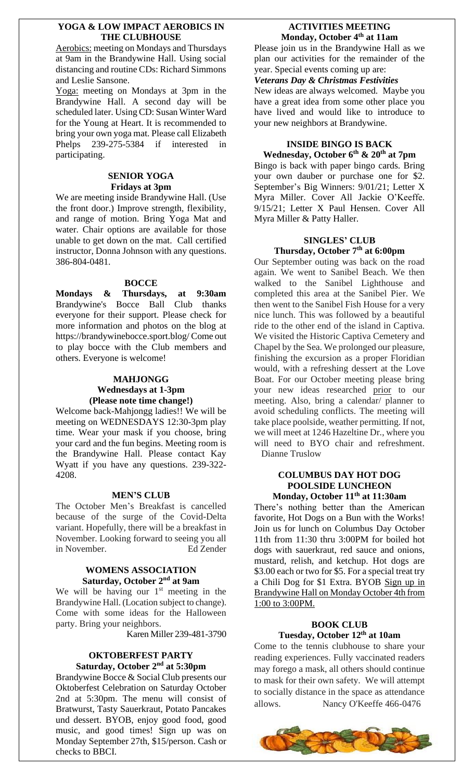#### **YOGA & LOW IMPACT AEROBICS IN THE CLUBHOUSE**

Aerobics: meeting on Mondays and Thursdays at 9am in the Brandywine Hall. Using social distancing and routine CDs: Richard Simmons and Leslie Sansone.

Yoga: meeting on Mondays at 3pm in the Brandywine Hall. A second day will be scheduled later. Using CD: Susan Winter Ward for the Young at Heart. It is recommended to bring your own yoga mat. Please call Elizabeth Phelps 239-275-5384 if interested in participating.

### **SENIOR YOGA Fridays at 3pm**

We are meeting inside Brandywine Hall. (Use the front door.) Improve strength, flexibility, and range of motion. Bring Yoga Mat and water. Chair options are available for those unable to get down on the mat. Call certified instructor, Donna Johnson with any questions. 386-804-0481.

### **BOCCE**

**Mondays & Thursdays, at 9:30am** Brandywine's Bocce Ball Club thanks everyone for their support. Please check for more information and photos on the blog at https://brandywinebocce.sport.blog/ Come out to play bocce with the Club members and others. Everyone is welcome!

#### **MAHJONGG Wednesdays at 1-3pm (Please note time change!)**

Welcome back-Mahjongg ladies!! We will be meeting on WEDNESDAYS 12:30-3pm play time. Wear your mask if you choose, bring your card and the fun begins. Meeting room is the Brandywine Hall. Please contact Kay Wyatt if you have any questions. 239-322- 4208.

#### **MEN'S CLUB**

The October Men's Breakfast is cancelled because of the surge of the Covid-Delta variant. Hopefully, there will be a breakfast in November. Looking forward to seeing you all in November. Ed Zender

#### **WOMENS ASSOCIATION Saturday, October 2nd at 9am**

We will be having our  $1<sup>st</sup>$  meeting in the Brandywine Hall. (Location subject to change). Come with some ideas for the Halloween party. Bring your neighbors.

Karen Miller 239-481-3790

#### **OKTOBERFEST PARTY Saturday, October 2nd at 5:30pm**

Brandywine Bocce & Social Club presents our Oktoberfest Celebration on Saturday October 2nd at 5:30pm. The menu will consist of Bratwurst, Tasty Sauerkraut, Potato Pancakes und dessert. BYOB, enjoy good food, good music, and good times! Sign up was on Monday September 27th, \$15/person. Cash or checks to BBCI.

## **ACTIVITIES MEETING Monday, October 4 th at 11am**

Please join us in the Brandywine Hall as we plan our activities for the remainder of the year. Special events coming up are:

#### *Veterans Day & Christmas Festivities*

New ideas are always welcomed. Maybe you have a great idea from some other place you have lived and would like to introduce to your new neighbors at Brandywine.

## **INSIDE BINGO IS BACK Wednesday, October 6 th & 20th at 7pm**

Bingo is back with paper bingo cards. Bring your own dauber or purchase one for \$2. September's Big Winners: 9/01/21; Letter X Myra Miller. Cover All Jackie O'Keeffe. 9/15/21; Letter X Paul Hensen. Cover All Myra Miller & Patty Haller.

# **SINGLES' CLUB Thursday, October 7 th at 6:00pm**

Our September outing was back on the road again. We went to Sanibel Beach. We then walked to the Sanibel Lighthouse and completed this area at the Sanibel Pier. We then went to the Sanibel Fish House for a very nice lunch. This was followed by a beautiful ride to the other end of the island in Captiva. We visited the Historic Captiva Cemetery and Chapel by the Sea. We prolonged our pleasure, finishing the excursion as a proper Floridian would, with a refreshing dessert at the Love Boat. For our October meeting please bring your new ideas researched prior to our meeting. Also, bring a calendar/ planner to avoid scheduling conflicts. The meeting will take place poolside, weather permitting. If not, we will meet at 1246 Hazeltine Dr., where you will need to BYO chair and refreshment. Dianne Truslow

#### **COLUMBUS DAY HOT DOG POOLSIDE LUNCHEON Monday, October 11th at 11:30am**

There's nothing better than the American favorite, Hot Dogs on a Bun with the Works! Join us for lunch on Columbus Day October 11th from 11:30 thru 3:00PM for boiled hot dogs with sauerkraut, red sauce and onions, mustard, relish, and ketchup. Hot dogs are \$3.00 each or two for \$5. For a special treat try a Chili Dog for \$1 Extra. BYOB Sign up in Brandywine Hall on Monday October 4th from 1:00 to 3:00PM.

## **BOOK CLUB Tuesday, October 12 th at 10am**

Come to the tennis clubhouse to share your reading experiences. Fully vaccinated readers may forego a mask, all others should continue to mask for their own safety. We will attempt to socially distance in the space as attendance allows. Nancy O'Keeffe 466-0476

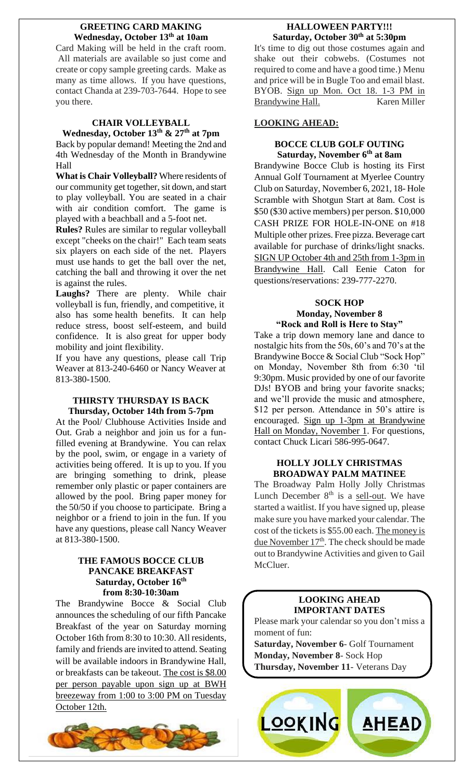#### **GREETING CARD MAKING Wednesday, October 13th at 10am**

Card Making will be held in the craft room. All materials are available so just come and create or copy sample greeting cards. Make as many as time allows. If you have questions, contact Chanda at 239-703-7644. Hope to see you there.

## **CHAIR VOLLEYBALL Wednesday, October 13th & 27 th at 7pm**

Back by popular demand! Meeting the 2nd and 4th Wednesday of the Month in Brandywine Hall

**What is Chair Volleyball?** Where residents of our community get together, sit down, and start to play volleyball. You are seated in a chair with air condition comfort. The game is played with a beachball and a 5-foot net.

**Rules?** Rules are similar to regular volleyball except "cheeks on the chair!" Each team seats six players on each side of the net. Players must use hands to get the ball over the net, catching the ball and throwing it over the net is against the rules.

**Laughs?** There are plenty. While chair volleyball is fun, friendly, and competitive, it also has some health benefits. It can help reduce stress, boost self-esteem, and build confidence. It is also great for upper body mobility and joint flexibility.

If you have any questions, please call Trip Weaver at 813-240-6460 or Nancy Weaver at 813-380-1500.

## **THIRSTY THURSDAY IS BACK Thursday, October 14th from 5-7pm**

At the Pool/ Clubhouse Activities Inside and Out. Grab a neighbor and join us for a funfilled evening at Brandywine. You can relax by the pool, swim, or engage in a variety of activities being offered. It is up to you. If you are bringing something to drink, please remember only plastic or paper containers are allowed by the pool. Bring paper money for the 50/50 if you choose to participate. Bring a neighbor or a friend to join in the fun. If you have any questions, please call Nancy Weaver at 813-380-1500.

## **THE FAMOUS BOCCE CLUB PANCAKE BREAKFAST Saturday, October 16th from 8:30-10:30am**

The Brandywine Bocce & Social Club announces the scheduling of our fifth Pancake Breakfast of the year on Saturday morning October 16th from 8:30 to 10:30. All residents, family and friends are invited to attend. Seating will be available indoors in Brandywine Hall, or breakfasts can be takeout. The cost is \$8.00 per person payable upon sign up at BWH breezeway from 1:00 to 3:00 PM on Tuesday October 12th.



# **HALLOWEEN PARTY!!! Saturday, October 30th at 5:30pm**

It's time to dig out those costumes again and shake out their cobwebs. (Costumes not required to come and have a good time.) Menu and price will be in Bugle Too and email blast. BYOB. Sign up Mon. Oct 18. 1-3 PM in Brandywine Hall. Karen Miller

# **LOOKING AHEAD:**

## **BOCCE CLUB GOLF OUTING Saturday, November 6 th at 8am**

Brandywine Bocce Club is hosting its First Annual Golf Tournament at Myerlee Country Club on Saturday, November 6, 2021, 18- Hole Scramble with Shotgun Start at 8am. Cost is \$50 (\$30 active members) per person. \$10,000 CASH PRIZE FOR HOLE-IN-ONE on #18 Multiple other prizes. Free pizza. Beverage cart available for purchase of drinks/light snacks. SIGN UP October 4th and 25th from 1-3pm in Brandywine Hall. Call Eenie Caton for questions/reservations: 239-777-2270.

## **SOCK HOP Monday, November 8 "Rock and Roll is Here to Stay"**

Take a trip down memory lane and dance to nostalgic hits from the 50s, 60's and 70's at the Brandywine Bocce & Social Club "Sock Hop" on Monday, November 8th from 6:30 'til 9:30pm. Music provided by one of our favorite DJs! BYOB and bring your favorite snacks; and we'll provide the music and atmosphere, \$12 per person. Attendance in 50's attire is encouraged. Sign up 1-3pm at Brandywine Hall on Monday, November 1. For questions, contact Chuck Licari 586-995-0647.

## **HOLLY JOLLY CHRISTMAS BROADWAY PALM MATINEE**

The Broadway Palm Holly Jolly Christmas Lunch December  $8<sup>th</sup>$  is a <u>sell-out</u>. We have started a waitlist. If you have signed up, please make sure you have marked your calendar. The cost of the tickets is \$55.00 each. The money is due November 17<sup>th</sup>. The check should be made out to Brandywine Activities and given to Gail McCluer.

# **LOOKING AHEAD IMPORTANT DATES**

Please mark your calendar so you don't miss a moment of fun:

**Saturday, November 6**- Golf Tournament **Monday, November 8**- Sock Hop **Thursday, November 11**- Veterans Day

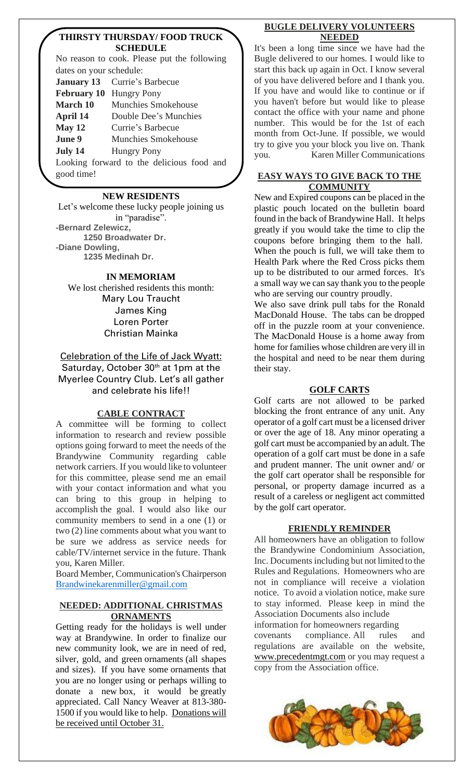## **THIRSTY THURSDAY/ FOOD TRUCK SCHEDULE**

No reason to cook. Please put the following dates on your schedule: **January 13** Currie's Barbecue **February 10** Hungry Pony **March 10** Munchies Smokehouse **April 14** Double Dee's Munchies **May 12** Currie's Barbecue **June 9** Munchies Smokehouse **July 14** Hungry Pony Looking forward to the delicious food and

good time!

## **NEW RESIDENTS**

Let's welcome these lucky people joining us in "paradise". **-Bernard Zelewicz, 1250 Broadwater Dr. -Diane Dowling, 1235 Medinah Dr.**

## **IN MEMORIAM**

We lost cherished residents this month: Mary Lou Traucht James King Loren Porter Christian Mainka

Celebration of the Life of Jack Wyatt: Saturday, October 30<sup>th</sup> at 1pm at the Myerlee Country Club. Let's all gather and celebrate his life!!

# **CABLE CONTRACT**

A committee will be forming to collect information to research and review possible options going forward to meet the needs of the Brandywine Community regarding cable network carriers. If you would like to volunteer for this committee, please send me an email with your contact information and what you can bring to this group in helping to accomplish the goal. I would also like our community members to send in a one (1) or two (2) line comments about what you want to be sure we address as service needs for cable/TV/internet service in the future. Thank you, Karen Miller.

Board Member, Communication's Chairperson [Brandwinekarenmiller@gmail.com](mailto:Brandwinekarenmiller@gmail.com)

### **NEEDED: ADDITIONAL CHRISTMAS ORNAMENTS**

Getting ready for the holidays is well under way at Brandywine. In order to finalize our new community look, we are in need of red, silver, gold, and green ornaments (all shapes and sizes). If you have some ornaments that you are no longer using or perhaps willing to donate a new box, it would be greatly appreciated. Call Nancy Weaver at 813-380- 1500 if you would like to help. Donations will be received until October 31.

## **BUGLE DELIVERY VOLUNTEERS NEEDED**

It's been a long time since we have had the Bugle delivered to our homes. I would like to start this back up again in Oct. I know several of you have delivered before and I thank you. If you have and would like to continue or if you haven't before but would like to please contact the office with your name and phone number. This would be for the 1st of each month from Oct-June. If possible, we would try to give you your block you live on. Thank you. Karen Miller Communications

## **EASY WAYS TO GIVE BACK TO THE COMMUNITY**

New and Expired coupons can be placed in the plastic pouch located on the bulletin board found in the back of Brandywine Hall. It helps greatly if you would take the time to clip the coupons before bringing them to the hall. When the pouch is full, we will take them to Health Park where the Red Cross picks them up to be distributed to our armed forces. It's a small way we can say thank you to the people who are serving our country proudly.

We also save drink pull tabs for the Ronald MacDonald House. The tabs can be dropped off in the puzzle room at your convenience. The MacDonald House is a home away from home for families whose children are very ill in the hospital and need to be near them during their stay.

# **GOLF CARTS**

Golf carts are not allowed to be parked blocking the front entrance of any unit. Any operator of a golf cart must be a licensed driver or over the age of 18. Any minor operating a golf cart must be accompanied by an adult. The operation of a golf cart must be done in a safe and prudent manner. The unit owner and/ or the golf cart operator shall be responsible for personal, or property damage incurred as a result of a careless or negligent act committed by the golf cart operator.

# **FRIENDLY REMINDER**

All homeowners have an obligation to follow the Brandywine Condominium Association, Inc. Documents including but not limited to the Rules and Regulations. Homeowners who are not in compliance will receive a violation notice. To avoid a violation notice, make sure to stay informed. Please keep in mind the Association Documents also include information for homeowners regarding

covenants compliance. All rules and regulations are available on the website, [www.precedentmgt.com](http://www.precedentmgt.com/) or you may request a copy from the Association office.